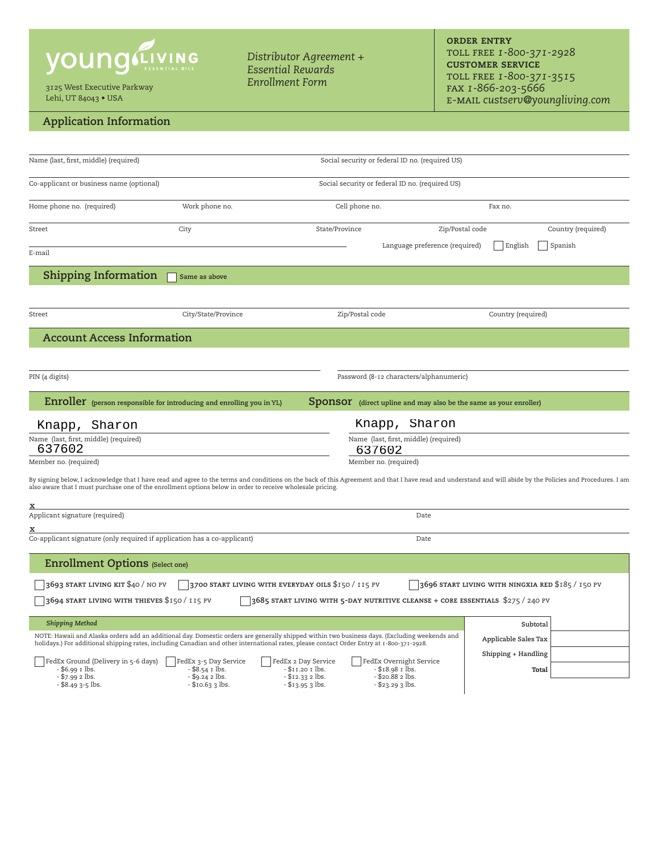# **young**

3125 West Executive Parkway *Enrollment Form* Lehi, UT 84043 • USA

## **Application Information**

*Distributor Agreement + Essential Rewards*

**order entry** toll free *1-800-371-2928*  **customer service** toll free *1-800-371-3515*  fax *1-866-203-5666* e-mail *custserv@youngliving.com*

| Name (last, first, middle) (required)                                                                      |                                                                       | Social security or federal ID no. (required US)                                                                                                                                                                                                                                            |                                                                                                                                                                                                              |  |  |  |  |
|------------------------------------------------------------------------------------------------------------|-----------------------------------------------------------------------|--------------------------------------------------------------------------------------------------------------------------------------------------------------------------------------------------------------------------------------------------------------------------------------------|--------------------------------------------------------------------------------------------------------------------------------------------------------------------------------------------------------------|--|--|--|--|
| Co-applicant or business name (optional)                                                                   |                                                                       |                                                                                                                                                                                                                                                                                            | Social security or federal ID no. (required US)                                                                                                                                                              |  |  |  |  |
| Home phone no. (required)                                                                                  | Work phone no.                                                        | Cell phone no.                                                                                                                                                                                                                                                                             | Fax no.                                                                                                                                                                                                      |  |  |  |  |
| Street                                                                                                     | City                                                                  | State/Province                                                                                                                                                                                                                                                                             | Country (required)<br>Zip/Postal code                                                                                                                                                                        |  |  |  |  |
| E-mail                                                                                                     |                                                                       |                                                                                                                                                                                                                                                                                            | Language preference (required)<br>English<br>Spanish                                                                                                                                                         |  |  |  |  |
| <b>Shipping Information</b>                                                                                | Same as above                                                         |                                                                                                                                                                                                                                                                                            |                                                                                                                                                                                                              |  |  |  |  |
| Street                                                                                                     | City/State/Province                                                   | Zip/Postal code                                                                                                                                                                                                                                                                            | Country (required)                                                                                                                                                                                           |  |  |  |  |
| <b>Account Access Information</b>                                                                          |                                                                       |                                                                                                                                                                                                                                                                                            |                                                                                                                                                                                                              |  |  |  |  |
|                                                                                                            |                                                                       |                                                                                                                                                                                                                                                                                            |                                                                                                                                                                                                              |  |  |  |  |
| PIN (4 digits)                                                                                             |                                                                       | Password (8-12 characters/alphanumeric)                                                                                                                                                                                                                                                    |                                                                                                                                                                                                              |  |  |  |  |
|                                                                                                            | Enroller (person responsible for introducing and enrolling you in YL) |                                                                                                                                                                                                                                                                                            | <b>Sponsor</b> (direct upline and may also be the same as your enroller)                                                                                                                                     |  |  |  |  |
| Sharon<br>Knapp,                                                                                           |                                                                       | Knapp, Sharon                                                                                                                                                                                                                                                                              |                                                                                                                                                                                                              |  |  |  |  |
| Name (last, first, middle) (required)<br>637602                                                            |                                                                       | 637602                                                                                                                                                                                                                                                                                     | Name (last, first, middle) (required)                                                                                                                                                                        |  |  |  |  |
| Member no. (required)                                                                                      |                                                                       | Member no. (required)                                                                                                                                                                                                                                                                      |                                                                                                                                                                                                              |  |  |  |  |
| also aware that I must purchase one of the enrollment options below in order to receive wholesale pricing. |                                                                       |                                                                                                                                                                                                                                                                                            | By signing below, I acknowledge that I have read and agree to the terms and conditions on the back of this Agreement and that I have read and understand and will abide by the Policies and Procedures. I am |  |  |  |  |
| x<br>Applicant signature (required)                                                                        |                                                                       |                                                                                                                                                                                                                                                                                            |                                                                                                                                                                                                              |  |  |  |  |
|                                                                                                            |                                                                       |                                                                                                                                                                                                                                                                                            | Date                                                                                                                                                                                                         |  |  |  |  |
| Co-applicant signature (only required if application has a co-applicant)                                   |                                                                       |                                                                                                                                                                                                                                                                                            | Date                                                                                                                                                                                                         |  |  |  |  |
| <b>Enrollment Options (Select one)</b>                                                                     |                                                                       |                                                                                                                                                                                                                                                                                            |                                                                                                                                                                                                              |  |  |  |  |
| 3693 START LIVING KIT \$40 / NO PV                                                                         |                                                                       | 3700 START LIVING WITH EVERYDAY OILS \$150 / 115 PV                                                                                                                                                                                                                                        | 3696 START LIVING WITH NINGXIA RED \$185 / 150 PV                                                                                                                                                            |  |  |  |  |
| 3694 START LIVING WITH THIEVES \$150 / 115 PV                                                              |                                                                       | 3685 START LIVING WITH 5-DAY NUTRITIVE CLEANSE + CORE ESSENTIALS \$275 / 240 PV                                                                                                                                                                                                            |                                                                                                                                                                                                              |  |  |  |  |
| <b>Shipping Method</b>                                                                                     |                                                                       |                                                                                                                                                                                                                                                                                            | Subtotal                                                                                                                                                                                                     |  |  |  |  |
|                                                                                                            |                                                                       | NOTE: Hawaii and Alaska orders add an additional day. Domestic orders are generally shipped within two business days. (Excluding weekends and<br>holidays.) For additional shipping rates, including Canadian and other international rates, please contact Order Entry at 1-800-371-2928. | Applicable Sales Tax                                                                                                                                                                                         |  |  |  |  |
| FedEx Ground (Delivery in 5-6 days)<br>FedEx 3-5 Day Service                                               |                                                                       | FedEx 2 Day Service<br>FedEx Overnight Service                                                                                                                                                                                                                                             | Shipping + Handling                                                                                                                                                                                          |  |  |  |  |
| $-$ \$6.99 $I$ lbs.<br>$-$ \$7.99 $2$ lbs.<br>$-$ \$8.49 3-5 lbs.                                          | $-$ \$8.54 $\bar{x}$ lbs.<br>$-$ \$9.24 2 lbs.<br>- \$10.63 3 lbs.    | $- $11.201$ lbs.<br>$- $18.98$ $1$ lbs.<br>$-$ \$20.88 $2$ lbs.<br>$- $12.33 2$ lbs.<br>- \$13.95 3 lbs.<br>- \$23.29 3 lbs.                                                                                                                                                               | Total                                                                                                                                                                                                        |  |  |  |  |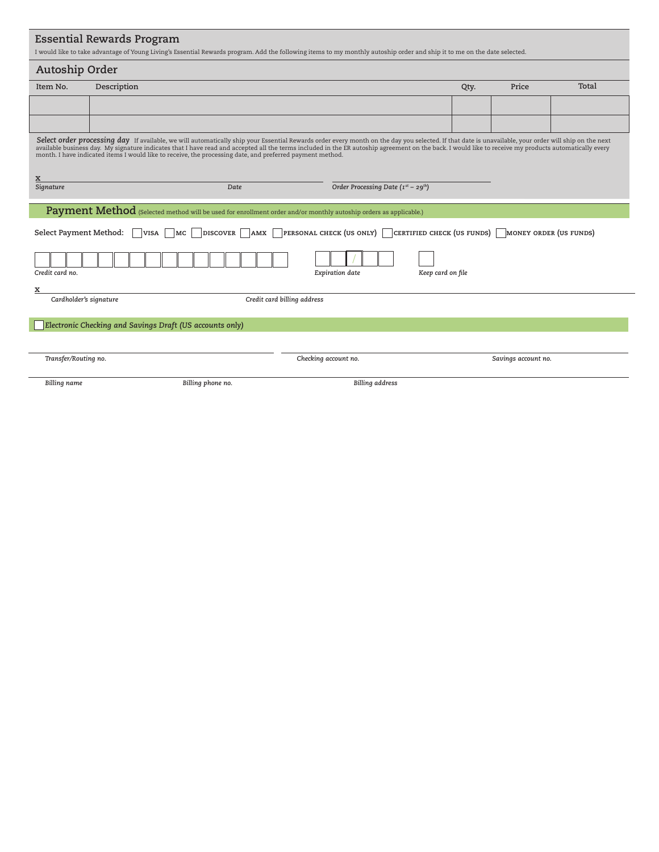|                             | Autoship Order                                                                                                   |                                                                                                                                                                                                                                                                                                                                                                                                               |      |                        |       |
|-----------------------------|------------------------------------------------------------------------------------------------------------------|---------------------------------------------------------------------------------------------------------------------------------------------------------------------------------------------------------------------------------------------------------------------------------------------------------------------------------------------------------------------------------------------------------------|------|------------------------|-------|
| Item No.                    | Description                                                                                                      |                                                                                                                                                                                                                                                                                                                                                                                                               | Qty. | Price                  | Total |
|                             |                                                                                                                  |                                                                                                                                                                                                                                                                                                                                                                                                               |      |                        |       |
|                             |                                                                                                                  |                                                                                                                                                                                                                                                                                                                                                                                                               |      |                        |       |
|                             |                                                                                                                  | Select order processing day If available, we will automatically ship your Essential Rewards order every month on the day you selected. If that date is unavailable, your order will ship on the next<br>available business day. My signature indicates that I have read and accepted all the terms included in the ER autoship agreement on the back. I would like to receive my products automatically every |      |                        |       |
|                             | month. I have indicated items I would like to receive, the processing date, and preferred payment method.        |                                                                                                                                                                                                                                                                                                                                                                                                               |      |                        |       |
| x                           |                                                                                                                  |                                                                                                                                                                                                                                                                                                                                                                                                               |      |                        |       |
| Signature                   | Date                                                                                                             | Order Processing Date (Ist - 29th)                                                                                                                                                                                                                                                                                                                                                                            |      |                        |       |
|                             | Payment Method (Selected method will be used for enrollment order and/or monthly autoship orders as applicable.) |                                                                                                                                                                                                                                                                                                                                                                                                               |      |                        |       |
| Select Payment Method:      | <b>DISCOVER</b><br>AMX<br>VISA<br> MC                                                                            | <b>PERSONAL CHECK (US ONLY)</b> $\vert$ <b>CERTIFIED CHECK (US FUNDS)</b>                                                                                                                                                                                                                                                                                                                                     |      | MONEY ORDER (US FUNDS) |       |
|                             |                                                                                                                  |                                                                                                                                                                                                                                                                                                                                                                                                               |      |                        |       |
|                             |                                                                                                                  |                                                                                                                                                                                                                                                                                                                                                                                                               |      |                        |       |
|                             |                                                                                                                  |                                                                                                                                                                                                                                                                                                                                                                                                               |      |                        |       |
| Credit card no.             |                                                                                                                  | Expiration date<br>Keep card on file                                                                                                                                                                                                                                                                                                                                                                          |      |                        |       |
| x<br>Cardholder's signature |                                                                                                                  |                                                                                                                                                                                                                                                                                                                                                                                                               |      |                        |       |
|                             |                                                                                                                  | Credit card billing address                                                                                                                                                                                                                                                                                                                                                                                   |      |                        |       |
|                             | Electronic Checking and Savings Draft (US accounts only)                                                         |                                                                                                                                                                                                                                                                                                                                                                                                               |      |                        |       |
|                             |                                                                                                                  |                                                                                                                                                                                                                                                                                                                                                                                                               |      |                        |       |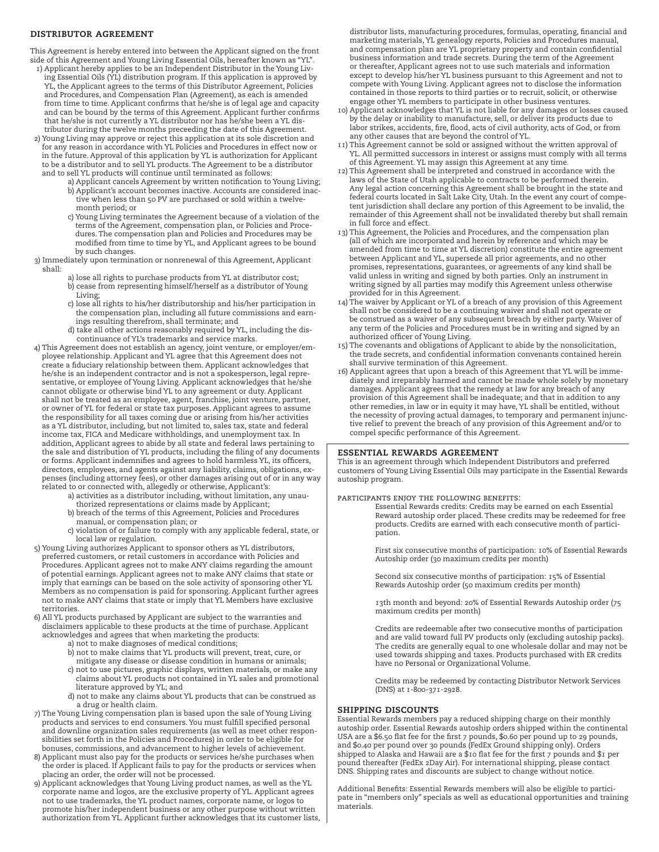### **distributor agreement**

This Agreement is hereby entered into between the Applicant signed on the front side of this Agreement and Young Living Essential Oils, hereafter known as "YL".

- 1) Applicant hereby applies to be an Independent Distributor in the Young Living Essential Oils (YL) distribution program. If this application is approved by YL, the Applicant agrees to the terms of this Distributor Agreement, Policies and Procedures, and Compensation Plan (Agreement), as each is amended from time to time. Applicant confirms that he/she is of legal age and capacity and can be bound by the terms of this Agreement. Applicant further confirms that he/she is not currently a YL distributor nor has he/she been a YL distributor during the twelve months preceeding the date of this Agreement.
- 2) Young Living may approve or reject this application at its sole discretion and for any reason in accordance with YL Policies and Procedures in effect now or in the future. Approval of this application by YL is authorization for Applicant to be a distributor and to sell YL products. The Agreement to be a distributor and to sell YL products will continue until terminated as follows:
	- a) Applicant cancels Agreement by written notification to Young Living; b) Applicant's account becomes inactive. Accounts are considered inactive when less than 50 PV are purchased or sold within a twelvemonth period; or
	- c) Young Living terminates the Agreement because of a violation of the terms of the Agreement, compensation plan, or Policies and Procedures. The compensation plan and Policies and Procedures may be modified from time to time by YL, and Applicant agrees to be bound by such changes.
- 3) Immediately upon termination or nonrenewal of this Agreement, Applicant shall:
	- a) lose all rights to purchase products from YL at distributor cost; b) cease from representing himself/herself as a distributor of Young Living;
	- c) lose all rights to his/her distributorship and his/her participation in the compensation plan, including all future commissions and earnings resulting therefrom, shall terminate; and
	- d) take all other actions reasonably required by YL, including the discontinuance of YL's trademarks and service marks.
- 4) This Agreement does not establish an agency, joint venture, or employer/employee relationship. Applicant and YL agree that this Agreement does not create a fiduciary relationship between them. Applicant acknowledges that he/she is an independent contractor and is not a spokesperson, legal representative, or employee of Young Living. Applicant acknowledges that he/she cannot obligate or otherwise bind YL to any agreement or duty. Applicant shall not be treated as an employee, agent, franchise, joint venture, partner, or owner of YL for federal or state tax purposes. Applicant agrees to assume the responsibility for all taxes coming due or arising from his/her activities as a YL distributor, including, but not limited to, sales tax, state and federal income tax, FICA and Medicare withholdings, and unemployment tax. In addition, Applicant agrees to abide by all state and federal laws pertaining to the sale and distribution of YL products, including the filing of any documents or forms. Applicant indemnifies and agrees to hold harmless YL, its officers, directors, employees, and agents against any liability, claims, obligations, expenses (including attorney fees), or other damages arising out of or in any way related to or connected with, allegedly or otherwise, Applicant's:
	- a) activities as a distributor including, without limitation, any unau-
	- thorized representations or claims made by Applicant; b) breach of the terms of this Agreement, Policies and Procedures
	- manual, or compensation plan; or
	- c) violation of or failure to comply with any applicable federal, state, or local law or regulation.
- 5) Young Living authorizes Applicant to sponsor others as YL distributors, preferred customers, or retail customers in accordance with Policies and Procedures. Applicant agrees not to make ANY claims regarding the amount of potential earnings. Applicant agrees not to make ANY claims that state or imply that earnings can be based on the sole activity of sponsoring other YL Members as no compensation is paid for sponsoring. Applicant further agrees not to make ANY claims that state or imply that YL Members have exclusive territories.
- 6) All YL products purchased by Applicant are subject to the warranties and disclaimers applicable to these products at the time of purchase. Applicant acknowledges and agrees that when marketing the products:
	- a) not to make diagnoses of medical conditions;
	- b) not to make claims that YL products will prevent, treat, cure, or mitigate any disease or disease condition in humans or animals;
	- c) not to use pictures, graphic displays, written materials, or make any claims about YL products not contained in YL sales and promotional literature approved by YL; and
	- d) not to make any claims about YL products that can be construed as a drug or health claim.
- 7) The Young Living compensation plan is based upon the sale of Young Living products and services to end consumers. You must fulfill specified personal and downline organization sales requirements (as well as meet other responsibilities set forth in the Policies and Procedures) in order to be eligible for bonuses, commissions, and advancement to higher levels of achievement.
- 8) Applicant must also pay for the products or services he/she purchases when the order is placed. If Applicant fails to pay for the products or services when placing an order, the order will not be processed.
- 9) Applicant acknowledges that Young Living product names, as well as the YL corporate name and logos, are the exclusive property of YL. Applicant agrees not to use trademarks, the YL product names, corporate name, or logos to promote his/her independent business or any other purpose without written authorization from YL. Applicant further acknowledges that its customer lists,

distributor lists, manufacturing procedures, formulas, operating, financial and marketing materials, YL genealogy reports, Policies and Procedures manual, and compensation plan are YL proprietary property and contain confidential business information and trade secrets. During the term of the Agreement or thereafter, Applicant agrees not to use such materials and information except to develop his/her YL business pursuant to this Agreement and not to compete with Young Living. Applicant agrees not to disclose the information contained in those reports to third parties or to recruit, solicit, or otherwise engage other YL members to participate in other business ventures.

- 10) Applicant acknowledges that YL is not liable for any damages or losses caused by the delay or inability to manufacture, sell, or deliver its products due to labor strikes, accidents, fire, flood, acts of civil authority, acts of God, or from any other causes that are beyond the control of YL.
- 11) This Agreement cannot be sold or assigned without the written approval of YL. All permitted successors in interest or assigns must comply with all terms of this Agreement. YL may assign this Agreement at any time.
- 12) This Agreement shall be interpreted and construed in accordance with the laws of the State of Utah applicable to contracts to be performed therein. Any legal action concerning this Agreement shall be brought in the state and federal courts located in Salt Lake City, Utah. In the event any court of competent jurisdiction shall declare any portion of this Agreement to be invalid, the remainder of this Agreement shall not be invalidated thereby but shall remain in full force and effect.
- 13) This Agreement, the Policies and Procedures, and the compensation plan (all of which are incorporated and herein by reference and which may be amended from time to time at YL discretion) constitute the entire agreement between Applicant and YL, supersede all prior agreements, and no other promises, representations, guarantees, or agreements of any kind shall be valid unless in writing and signed by both parties. Only an instrument in writing signed by all parties may modify this Agreement unless otherwise provided for in this Agreement.
- 14) The waiver by Applicant or YL of a breach of any provision of this Agreement shall not be considered to be a continuing waiver and shall not operate or be construed as a waiver of any subsequent breach by either party. Waiver of any term of the Policies and Procedures must be in writing and signed by an authorized officer of Young Living.
- 15) The covenants and obligations of Applicant to abide by the nonsolicitation, the trade secrets, and confidential information convenants contained herein shall survive termination of this Agreement.
- 16) Applicant agrees that upon a breach of this Agreement that YL will be immediately and irreparably harmed and cannot be made whole solely by monetary damages. Applicant agrees that the remedy at law for any breach of any provision of this Agreement shall be inadequate; and that in addition to any other remedies, in law or in equity it may have, YL shall be entitled, without the necessity of proving actual damages, to temporary and permanent injunctive relief to prevent the breach of any provision of this Agreement and/or to compel specific performance of this Agreement.

#### **essential rewards agreement**

This is an agreement through which Independent Distributors and preferred customers of Young Living Essential Oils may participate in the Essential Rewards autoship program.

#### participants enjoy the following benefits:

- Essential Rewards credits: Credits may be earned on each Essential Reward autoship order placed. These credits may be redeemed for free products. Credits are earned with each consecutive month of participation.
	- First six consecutive months of participation: 10% of Essential Rewards Autoship order (30 maximum credits per month)
	- Second six consecutive months of participation: 15% of Essential Rewards Autoship order (50 maximum credits per month)
	- 13th month and beyond: 20% of Essential Rewards Autoship order (75 maximum credits per month)

 Credits are redeemable after two consecutive months of participation and are valid toward full PV products only (excluding autoship packs). The credits are generally equal to one wholesale dollar and may not be used towards shipping and taxes. Products purchased with ER credits have no Personal or Organizational Volume.

> Credits may be redeemed by contacting Distributor Network Services (DNS) at 1-800-371-2928.

#### **shipping discounts**

Essential Rewards members pay a reduced shipping charge on their monthly autoship order. Essential Rewards autoship orders shipped within the continental USA are a \$6.50 flat fee for the first 7 pounds, \$0.60 per pound up to 29 pounds, and \$0.40 per pound over 30 pounds (FedEx Ground shipping only). Orders shipped to Alaska and Hawaii are a \$10 flat fee for the first 7 pounds and \$1 per pound thereafter (FedEx 2Day Air). For international shipping, please contact DNS. Shipping rates and discounts are subject to change without notice.

Additional Benefits: Essential Rewards members will also be eligible to participate in "members only" specials as well as educational opportunities and training materials.